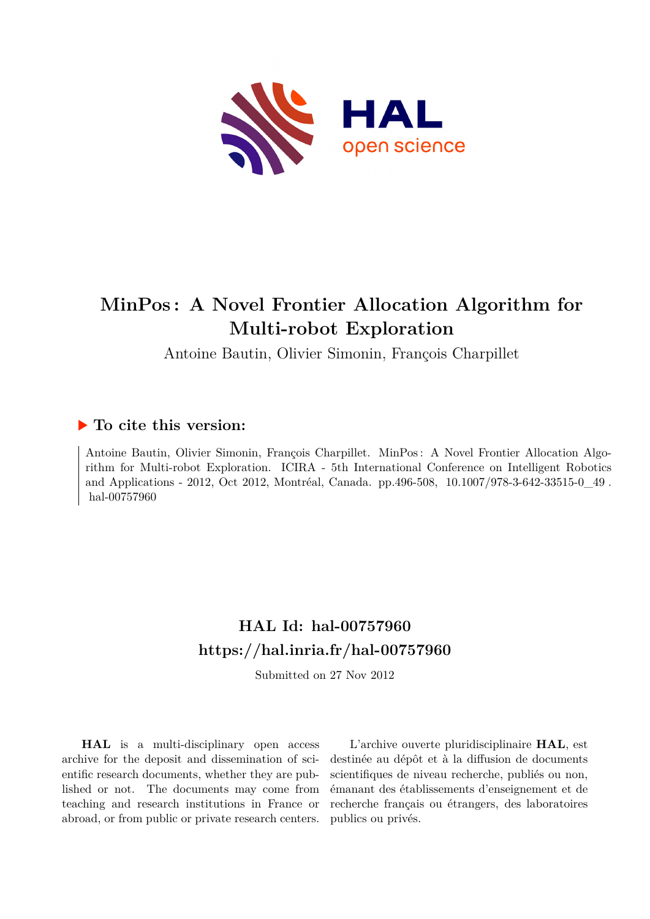

# **MinPos : A Novel Frontier Allocation Algorithm for Multi-robot Exploration**

Antoine Bautin, Olivier Simonin, François Charpillet

## **To cite this version:**

Antoine Bautin, Olivier Simonin, François Charpillet. MinPos : A Novel Frontier Allocation Algorithm for Multi-robot Exploration. ICIRA - 5th International Conference on Intelligent Robotics and Applications - 2012, Oct 2012, Montréal, Canada. pp.496-508, 10.1007/978-3-642-33515-0\_49. hal-00757960

# **HAL Id: hal-00757960 <https://hal.inria.fr/hal-00757960>**

Submitted on 27 Nov 2012

**HAL** is a multi-disciplinary open access archive for the deposit and dissemination of scientific research documents, whether they are published or not. The documents may come from teaching and research institutions in France or abroad, or from public or private research centers.

L'archive ouverte pluridisciplinaire **HAL**, est destinée au dépôt et à la diffusion de documents scientifiques de niveau recherche, publiés ou non, émanant des établissements d'enseignement et de recherche français ou étrangers, des laboratoires publics ou privés.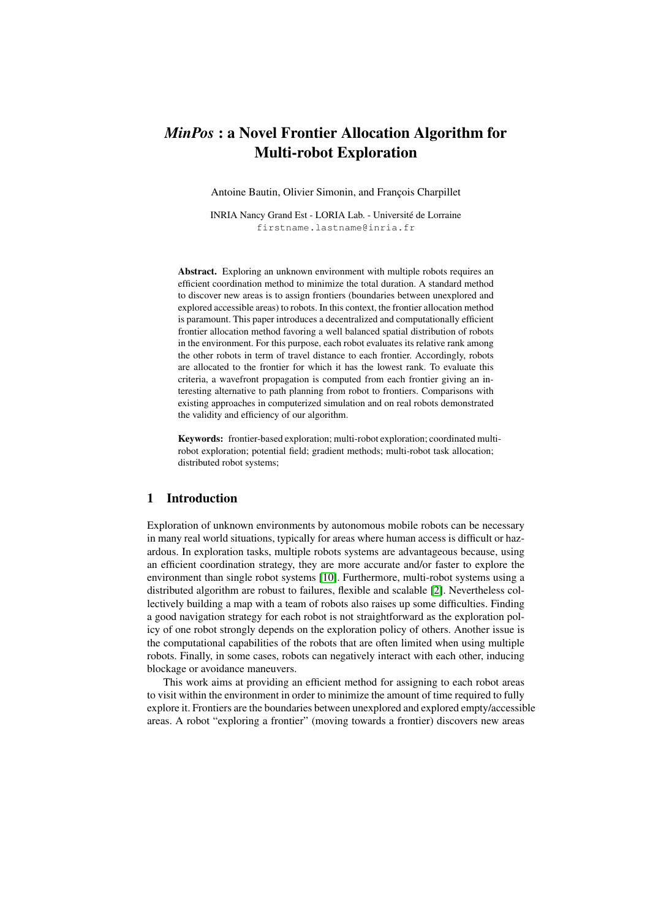## *MinPos* : a Novel Frontier Allocation Algorithm for Multi-robot Exploration

Antoine Bautin, Olivier Simonin, and François Charpillet

INRIA Nancy Grand Est - LORIA Lab. - Universite de Lorraine ´ firstname.lastname@inria.fr

Abstract. Exploring an unknown environment with multiple robots requires an efficient coordination method to minimize the total duration. A standard method to discover new areas is to assign frontiers (boundaries between unexplored and explored accessible areas) to robots. In this context, the frontier allocation method is paramount. This paper introduces a decentralized and computationally efficient frontier allocation method favoring a well balanced spatial distribution of robots in the environment. For this purpose, each robot evaluates its relative rank among the other robots in term of travel distance to each frontier. Accordingly, robots are allocated to the frontier for which it has the lowest rank. To evaluate this criteria, a wavefront propagation is computed from each frontier giving an interesting alternative to path planning from robot to frontiers. Comparisons with existing approaches in computerized simulation and on real robots demonstrated the validity and efficiency of our algorithm.

Keywords: frontier-based exploration; multi-robot exploration; coordinated multirobot exploration; potential field; gradient methods; multi-robot task allocation; distributed robot systems;

## 1 Introduction

Exploration of unknown environments by autonomous mobile robots can be necessary in many real world situations, typically for areas where human access is difficult or hazardous. In exploration tasks, multiple robots systems are advantageous because, using an efficient coordination strategy, they are more accurate and/or faster to explore the environment than single robot systems [\[10\]](#page-12-0). Furthermore, multi-robot systems using a distributed algorithm are robust to failures, flexible and scalable [\[2\]](#page-12-1). Nevertheless collectively building a map with a team of robots also raises up some difficulties. Finding a good navigation strategy for each robot is not straightforward as the exploration policy of one robot strongly depends on the exploration policy of others. Another issue is the computational capabilities of the robots that are often limited when using multiple robots. Finally, in some cases, robots can negatively interact with each other, inducing blockage or avoidance maneuvers.

This work aims at providing an efficient method for assigning to each robot areas to visit within the environment in order to minimize the amount of time required to fully explore it. Frontiers are the boundaries between unexplored and explored empty/accessible areas. A robot "exploring a frontier" (moving towards a frontier) discovers new areas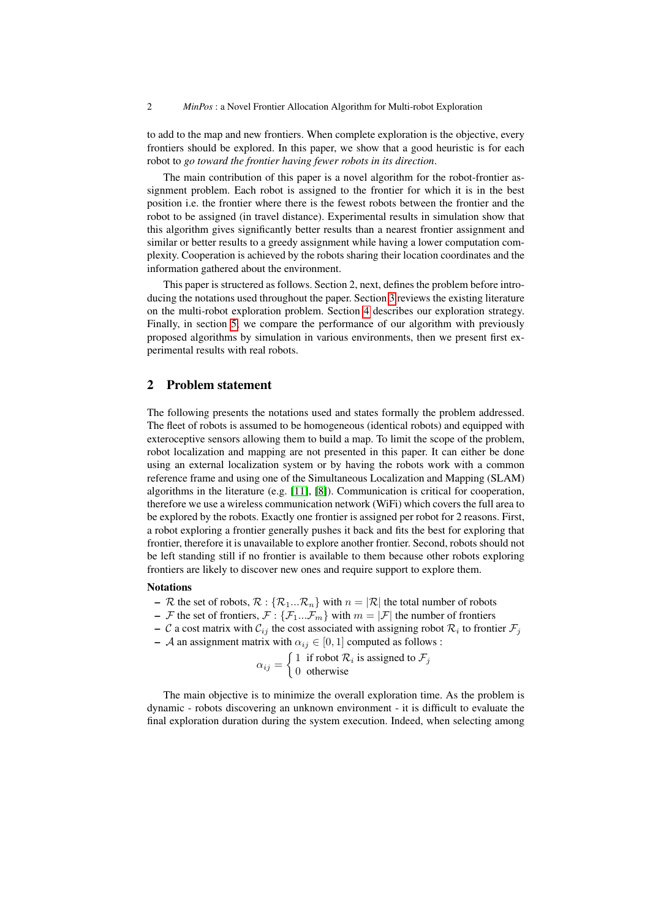2 *MinPos* : a Novel Frontier Allocation Algorithm for Multi-robot Exploration

to add to the map and new frontiers. When complete exploration is the objective, every frontiers should be explored. In this paper, we show that a good heuristic is for each robot to *go toward the frontier having fewer robots in its direction*.

The main contribution of this paper is a novel algorithm for the robot-frontier assignment problem. Each robot is assigned to the frontier for which it is in the best position i.e. the frontier where there is the fewest robots between the frontier and the robot to be assigned (in travel distance). Experimental results in simulation show that this algorithm gives significantly better results than a nearest frontier assignment and similar or better results to a greedy assignment while having a lower computation complexity. Cooperation is achieved by the robots sharing their location coordinates and the information gathered about the environment.

This paper is structered as follows. Section 2, next, defines the problem before introducing the notations used throughout the paper. Section [3](#page-3-0) reviews the existing literature on the multi-robot exploration problem. Section [4](#page-5-0) describes our exploration strategy. Finally, in section [5,](#page-8-0) we compare the performance of our algorithm with previously proposed algorithms by simulation in various environments, then we present first experimental results with real robots.

## 2 Problem statement

The following presents the notations used and states formally the problem addressed. The fleet of robots is assumed to be homogeneous (identical robots) and equipped with exteroceptive sensors allowing them to build a map. To limit the scope of the problem, robot localization and mapping are not presented in this paper. It can either be done using an external localization system or by having the robots work with a common reference frame and using one of the Simultaneous Localization and Mapping (SLAM) algorithms in the literature (e.g. [\[11\]](#page-12-2), [\[8\]](#page-12-3)). Communication is critical for cooperation, therefore we use a wireless communication network (WiFi) which covers the full area to be explored by the robots. Exactly one frontier is assigned per robot for 2 reasons. First, a robot exploring a frontier generally pushes it back and fits the best for exploring that frontier, therefore it is unavailable to explore another frontier. Second, robots should not be left standing still if no frontier is available to them because other robots exploring frontiers are likely to discover new ones and require support to explore them.

#### Notations

- R the set of robots,  $\mathcal{R}$ :  $\{\mathcal{R}_1...\mathcal{R}_n\}$  with  $n = |\mathcal{R}|$  the total number of robots
- F the set of frontiers,  $\mathcal{F}$  :  $\{\mathcal{F}_1...\mathcal{F}_m\}$  with  $m = |\mathcal{F}|$  the number of frontiers
- C a cost matrix with  $\mathcal{C}_{ij}$  the cost associated with assigning robot  $\mathcal{R}_i$  to frontier  $\mathcal{F}_j$
- A an assignment matrix with  $\alpha_{ij} \in [0, 1]$  computed as follows :

$$
\alpha_{ij} = \begin{cases} 1 & \text{if robot } \mathcal{R}_i \text{ is assigned to } \mathcal{F}_j \\ 0 & \text{otherwise} \end{cases}
$$

The main objective is to minimize the overall exploration time. As the problem is dynamic - robots discovering an unknown environment - it is difficult to evaluate the final exploration duration during the system execution. Indeed, when selecting among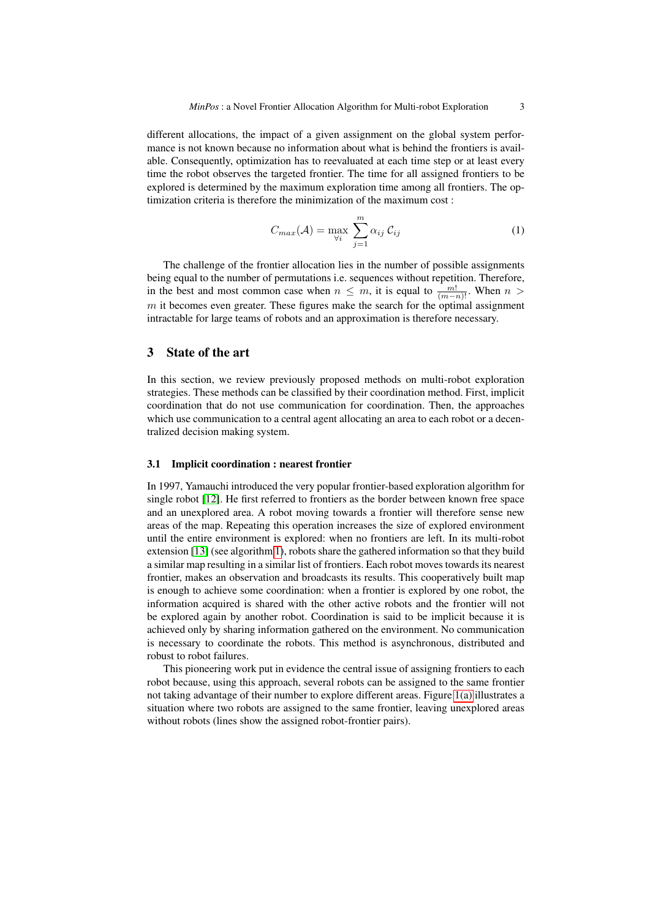different allocations, the impact of a given assignment on the global system performance is not known because no information about what is behind the frontiers is available. Consequently, optimization has to reevaluated at each time step or at least every time the robot observes the targeted frontier. The time for all assigned frontiers to be explored is determined by the maximum exploration time among all frontiers. The optimization criteria is therefore the minimization of the maximum cost :

$$
C_{max}(\mathcal{A}) = \max_{\forall i} \sum_{j=1}^{m} \alpha_{ij} \mathcal{C}_{ij}
$$
 (1)

The challenge of the frontier allocation lies in the number of possible assignments being equal to the number of permutations i.e. sequences without repetition. Therefore, in the best and most common case when  $n \leq m$ , it is equal to  $\frac{m!}{(m-n)!}$ . When  $n >$  $m$  it becomes even greater. These figures make the search for the optimal assignment intractable for large teams of robots and an approximation is therefore necessary.

## <span id="page-3-0"></span>3 State of the art

In this section, we review previously proposed methods on multi-robot exploration strategies. These methods can be classified by their coordination method. First, implicit coordination that do not use communication for coordination. Then, the approaches which use communication to a central agent allocating an area to each robot or a decentralized decision making system.

#### 3.1 Implicit coordination : nearest frontier

In 1997, Yamauchi introduced the very popular frontier-based exploration algorithm for single robot [\[12\]](#page-12-4). He first referred to frontiers as the border between known free space and an unexplored area. A robot moving towards a frontier will therefore sense new areas of the map. Repeating this operation increases the size of explored environment until the entire environment is explored: when no frontiers are left. In its multi-robot extension [\[13\]](#page-12-5) (see algorithm [1\)](#page-4-0), robots share the gathered information so that they build a similar map resulting in a similar list of frontiers. Each robot moves towards its nearest frontier, makes an observation and broadcasts its results. This cooperatively built map is enough to achieve some coordination: when a frontier is explored by one robot, the information acquired is shared with the other active robots and the frontier will not be explored again by another robot. Coordination is said to be implicit because it is achieved only by sharing information gathered on the environment. No communication is necessary to coordinate the robots. This method is asynchronous, distributed and robust to robot failures.

This pioneering work put in evidence the central issue of assigning frontiers to each robot because, using this approach, several robots can be assigned to the same frontier not taking advantage of their number to explore different areas. Figure [1\(a\)](#page-4-1) illustrates a situation where two robots are assigned to the same frontier, leaving unexplored areas without robots (lines show the assigned robot-frontier pairs).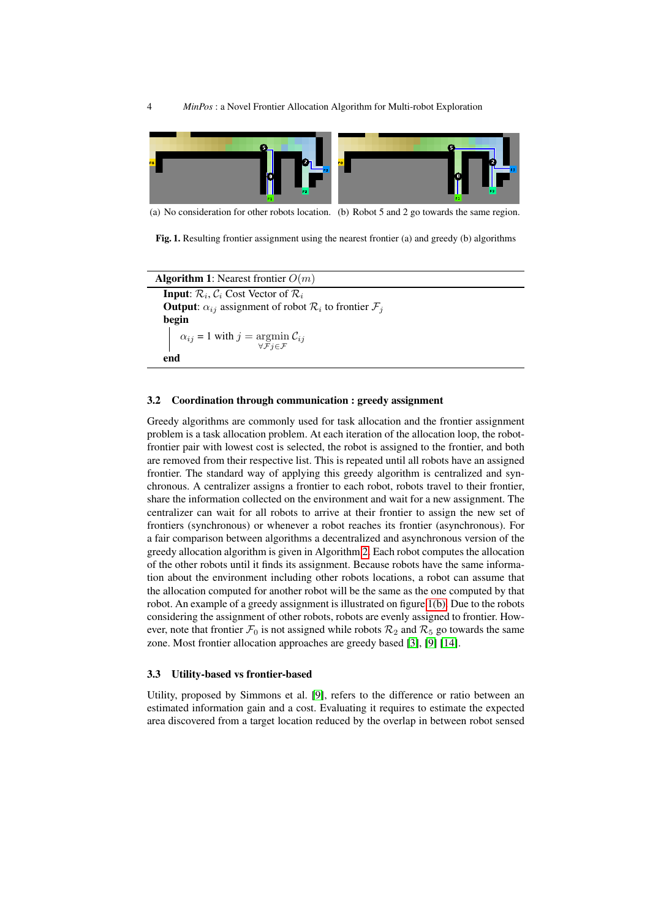<span id="page-4-1"></span>

(a) No consideration for other robots location. (b) Robot 5 and 2 go towards the same region.

<span id="page-4-3"></span>Fig. 1. Resulting frontier assignment using the nearest frontier (a) and greedy (b) algorithms

```
Algorithm 1: Nearest frontier O(m)Input: \mathcal{R}_i, \mathcal{C}_i Cost Vector of \mathcal{R}_iOutput: \alpha_{ij} assignment of robot \mathcal{R}_i to frontier \mathcal{F}_jbegin
\alpha_{ij} = 1 with j = \operatorname*{argmin}_{\forall \mathcal{F}j \in \mathcal{F}} \mathcal{C}_{ij}end
```
#### 3.2 Coordination through communication : greedy assignment

Greedy algorithms are commonly used for task allocation and the frontier assignment problem is a task allocation problem. At each iteration of the allocation loop, the robotfrontier pair with lowest cost is selected, the robot is assigned to the frontier, and both are removed from their respective list. This is repeated until all robots have an assigned frontier. The standard way of applying this greedy algorithm is centralized and synchronous. A centralizer assigns a frontier to each robot, robots travel to their frontier, share the information collected on the environment and wait for a new assignment. The centralizer can wait for all robots to arrive at their frontier to assign the new set of frontiers (synchronous) or whenever a robot reaches its frontier (asynchronous). For a fair comparison between algorithms a decentralized and asynchronous version of the greedy allocation algorithm is given in Algorithm [2.](#page-4-2) Each robot computes the allocation of the other robots until it finds its assignment. Because robots have the same information about the environment including other robots locations, a robot can assume that the allocation computed for another robot will be the same as the one computed by that robot. An example of a greedy assignment is illustrated on figure [1\(b\).](#page-4-3) Due to the robots considering the assignment of other robots, robots are evenly assigned to frontier. However, note that frontier  $\mathcal{F}_0$  is not assigned while robots  $\mathcal{R}_2$  and  $\mathcal{R}_5$  go towards the same zone. Most frontier allocation approaches are greedy based [\[3\]](#page-12-6), [\[9\]](#page-12-7) [\[14\]](#page-12-8).

## <span id="page-4-2"></span>3.3 Utility-based vs frontier-based

Utility, proposed by Simmons et al. [\[9\]](#page-12-7), refers to the difference or ratio between an estimated information gain and a cost. Evaluating it requires to estimate the expected area discovered from a target location reduced by the overlap in between robot sensed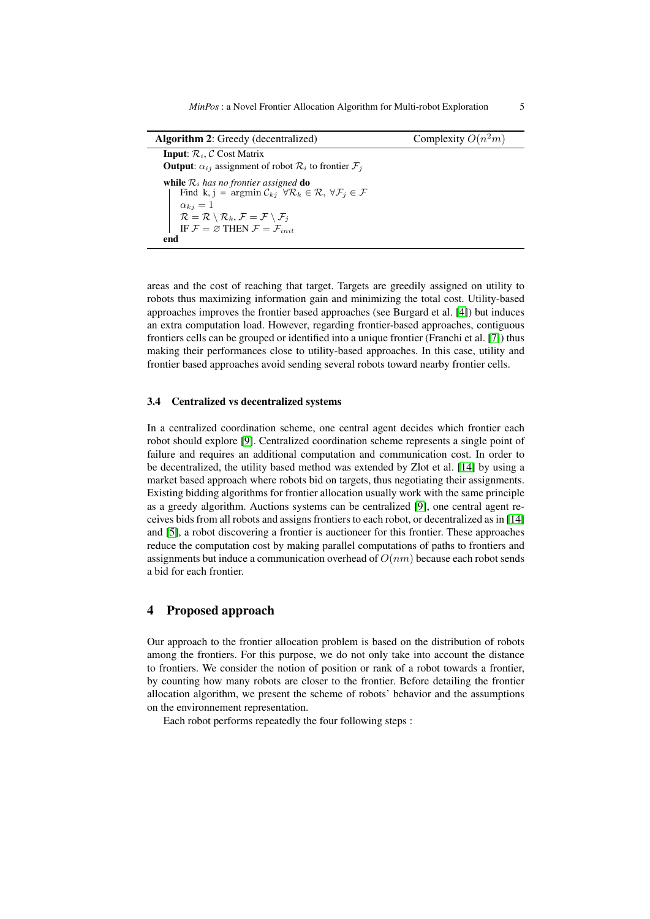| Algorithm 2: Greedy (decentralized)                                                                                                                                                                                                                                                                                                                                                       | Complexity $O(n^2m)$ |
|-------------------------------------------------------------------------------------------------------------------------------------------------------------------------------------------------------------------------------------------------------------------------------------------------------------------------------------------------------------------------------------------|----------------------|
| <b>Input:</b> $\mathcal{R}_i$ , $\mathcal{C}$ Cost Matrix<br><b>Output:</b> $\alpha_{ij}$ assignment of robot $\mathcal{R}_i$ to frontier $\mathcal{F}_i$                                                                                                                                                                                                                                 |                      |
| while $\mathcal{R}_i$ has no frontier assigned do<br>Find k, j = $\argmin \mathcal{C}_{k_j}$ $\forall \mathcal{R}_k \in \mathcal{R}, \forall \mathcal{F}_j \in \mathcal{F}$<br>$\alpha_{ki}=1$<br>$\mathcal{R} = \mathcal{R} \setminus \mathcal{R}_k, \mathcal{F} = \mathcal{F} \setminus \mathcal{F}_j$<br>IF $\mathcal{F} = \varnothing$ THEN $\mathcal{F} = \mathcal{F}_{init}$<br>end |                      |

areas and the cost of reaching that target. Targets are greedily assigned on utility to robots thus maximizing information gain and minimizing the total cost. Utility-based approaches improves the frontier based approaches (see Burgard et al. [\[4\]](#page-12-9)) but induces an extra computation load. However, regarding frontier-based approaches, contiguous frontiers cells can be grouped or identified into a unique frontier (Franchi et al. [\[7\]](#page-12-10)) thus making their performances close to utility-based approaches. In this case, utility and frontier based approaches avoid sending several robots toward nearby frontier cells.

#### 3.4 Centralized vs decentralized systems

In a centralized coordination scheme, one central agent decides which frontier each robot should explore [\[9\]](#page-12-7). Centralized coordination scheme represents a single point of failure and requires an additional computation and communication cost. In order to be decentralized, the utility based method was extended by Zlot et al. [\[14\]](#page-12-8) by using a market based approach where robots bid on targets, thus negotiating their assignments. Existing bidding algorithms for frontier allocation usually work with the same principle as a greedy algorithm. Auctions systems can be centralized [\[9\]](#page-12-7), one central agent receives bids from all robots and assigns frontiers to each robot, or decentralized as in [\[14\]](#page-12-8) and [\[5\]](#page-12-11), a robot discovering a frontier is auctioneer for this frontier. These approaches reduce the computation cost by making parallel computations of paths to frontiers and assignments but induce a communication overhead of  $O(nm)$  because each robot sends a bid for each frontier.

## <span id="page-5-0"></span>4 Proposed approach

Our approach to the frontier allocation problem is based on the distribution of robots among the frontiers. For this purpose, we do not only take into account the distance to frontiers. We consider the notion of position or rank of a robot towards a frontier, by counting how many robots are closer to the frontier. Before detailing the frontier allocation algorithm, we present the scheme of robots' behavior and the assumptions on the environnement representation.

Each robot performs repeatedly the four following steps :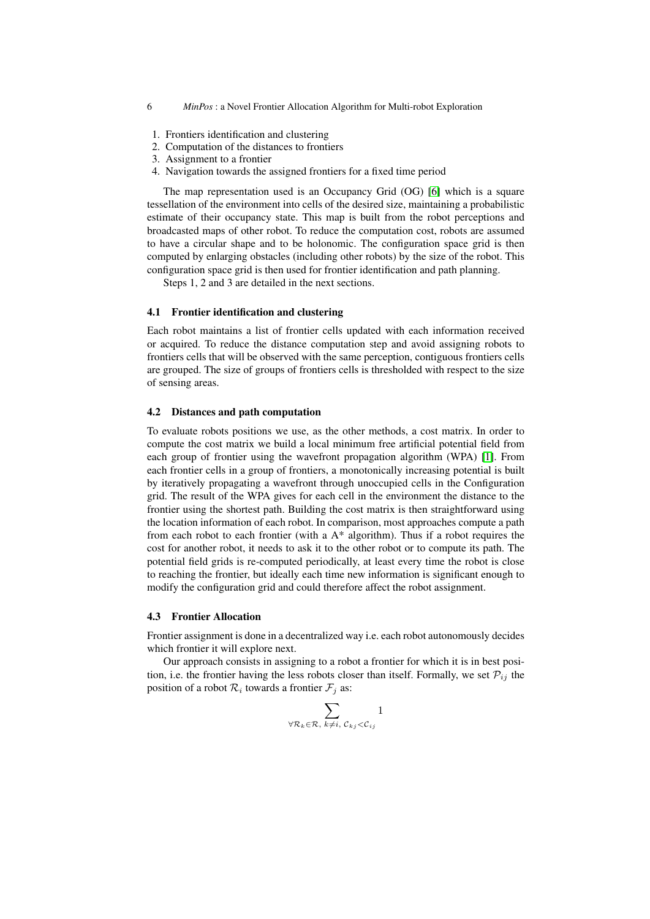- 6 *MinPos* : a Novel Frontier Allocation Algorithm for Multi-robot Exploration
- 1. Frontiers identification and clustering
- 2. Computation of the distances to frontiers
- 3. Assignment to a frontier
- 4. Navigation towards the assigned frontiers for a fixed time period

The map representation used is an Occupancy Grid (OG) [\[6\]](#page-12-12) which is a square tessellation of the environment into cells of the desired size, maintaining a probabilistic estimate of their occupancy state. This map is built from the robot perceptions and broadcasted maps of other robot. To reduce the computation cost, robots are assumed to have a circular shape and to be holonomic. The configuration space grid is then computed by enlarging obstacles (including other robots) by the size of the robot. This configuration space grid is then used for frontier identification and path planning.

Steps 1, 2 and 3 are detailed in the next sections.

#### 4.1 Frontier identification and clustering

Each robot maintains a list of frontier cells updated with each information received or acquired. To reduce the distance computation step and avoid assigning robots to frontiers cells that will be observed with the same perception, contiguous frontiers cells are grouped. The size of groups of frontiers cells is thresholded with respect to the size of sensing areas.

#### 4.2 Distances and path computation

To evaluate robots positions we use, as the other methods, a cost matrix. In order to compute the cost matrix we build a local minimum free artificial potential field from each group of frontier using the wavefront propagation algorithm (WPA) [\[1\]](#page-12-13). From each frontier cells in a group of frontiers, a monotonically increasing potential is built by iteratively propagating a wavefront through unoccupied cells in the Configuration grid. The result of the WPA gives for each cell in the environment the distance to the frontier using the shortest path. Building the cost matrix is then straightforward using the location information of each robot. In comparison, most approaches compute a path from each robot to each frontier (with a  $A^*$  algorithm). Thus if a robot requires the cost for another robot, it needs to ask it to the other robot or to compute its path. The potential field grids is re-computed periodically, at least every time the robot is close to reaching the frontier, but ideally each time new information is significant enough to modify the configuration grid and could therefore affect the robot assignment.

### 4.3 Frontier Allocation

Frontier assignment is done in a decentralized way i.e. each robot autonomously decides which frontier it will explore next.

Our approach consists in assigning to a robot a frontier for which it is in best position, i.e. the frontier having the less robots closer than itself. Formally, we set  $\mathcal{P}_{ij}$  the position of a robot  $\mathcal{R}_i$  towards a frontier  $\mathcal{F}_j$  as:

$$
\sum_{\forall \mathcal{R}_k \in \mathcal{R}, \ k \neq i, \ \mathcal{C}_{kj} < \mathcal{C}_{ij}} 1
$$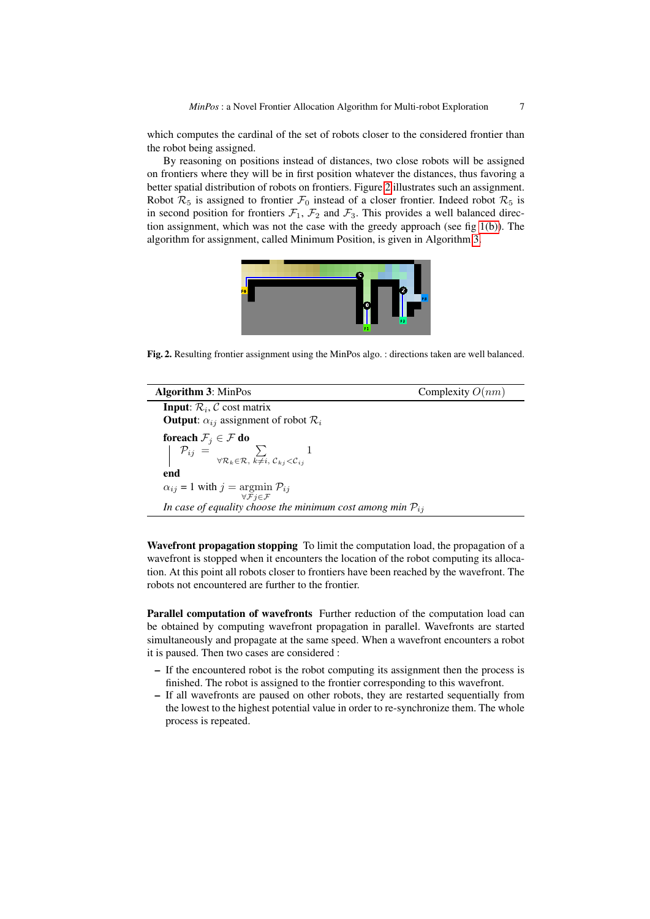which computes the cardinal of the set of robots closer to the considered frontier than the robot being assigned.

By reasoning on positions instead of distances, two close robots will be assigned on frontiers where they will be in first position whatever the distances, thus favoring a better spatial distribution of robots on frontiers. Figure [2](#page-7-0) illustrates such an assignment. Robot  $\mathcal{R}_5$  is assigned to frontier  $\mathcal{F}_0$  instead of a closer frontier. Indeed robot  $\mathcal{R}_5$  is in second position for frontiers  $\mathcal{F}_1$ ,  $\mathcal{F}_2$  and  $\mathcal{F}_3$ . This provides a well balanced direction assignment, which was not the case with the greedy approach (see fig [1\(b\)\)](#page-4-3). The algorithm for assignment, called Minimum Position, is given in Algorithm [3.](#page-7-1)



<span id="page-7-0"></span>Fig. 2. Resulting frontier assignment using the MinPos algo. : directions taken are well balanced.

<span id="page-7-1"></span>

| <b>Algorithm 3: MinPos</b>                                                                                                                                                                                           | Complexity $O(nm)$ |
|----------------------------------------------------------------------------------------------------------------------------------------------------------------------------------------------------------------------|--------------------|
| <b>Input:</b> $\mathcal{R}_i$ , $\mathcal{C}$ cost matrix                                                                                                                                                            |                    |
| <b>Output:</b> $\alpha_{ij}$ assignment of robot $\mathcal{R}_i$                                                                                                                                                     |                    |
| foreach $\mathcal{F}_i \in \mathcal{F}$ do<br>$\left  \begin{array}{c} \mathcal{P}_{ij} = \sum\limits_{\forall \mathcal{R}_k \in \mathcal{R}, \ k \neq i, \ \mathcal{C}_{kj} < \mathcal{C}_{ij} \end{array} \right $ |                    |
| end                                                                                                                                                                                                                  |                    |
| $\alpha_{ij} = 1$ with $j = \operatorname{argmin} \mathcal{P}_{ij}$<br>$\forall$ Fi $\in$ F                                                                                                                          |                    |
| In case of equality choose the minimum cost among min $P_{ij}$                                                                                                                                                       |                    |

Wavefront propagation stopping To limit the computation load, the propagation of a wavefront is stopped when it encounters the location of the robot computing its allocation. At this point all robots closer to frontiers have been reached by the wavefront. The robots not encountered are further to the frontier.

Parallel computation of wavefronts Further reduction of the computation load can be obtained by computing wavefront propagation in parallel. Wavefronts are started simultaneously and propagate at the same speed. When a wavefront encounters a robot it is paused. Then two cases are considered :

- If the encountered robot is the robot computing its assignment then the process is finished. The robot is assigned to the frontier corresponding to this wavefront.
- If all wavefronts are paused on other robots, they are restarted sequentially from the lowest to the highest potential value in order to re-synchronize them. The whole process is repeated.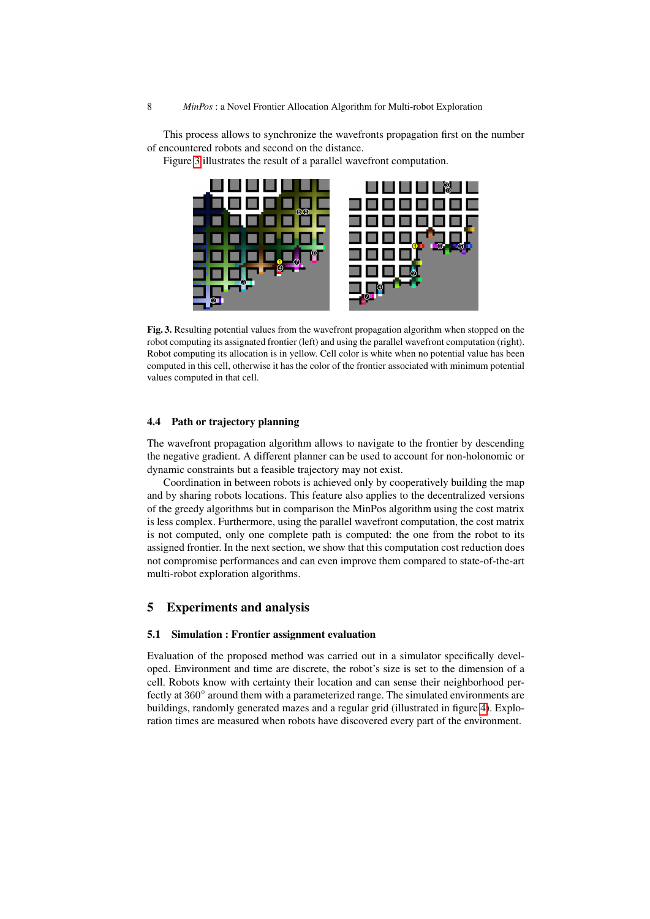This process allows to synchronize the wavefronts propagation first on the number of encountered robots and second on the distance.

Figure [3](#page-8-1) illustrates the result of a parallel wavefront computation.



<span id="page-8-1"></span>Fig. 3. Resulting potential values from the wavefront propagation algorithm when stopped on the robot computing its assignated frontier (left) and using the parallel wavefront computation (right). Robot computing its allocation is in yellow. Cell color is white when no potential value has been computed in this cell, otherwise it has the color of the frontier associated with minimum potential values computed in that cell.

## 4.4 Path or trajectory planning

The wavefront propagation algorithm allows to navigate to the frontier by descending the negative gradient. A different planner can be used to account for non-holonomic or dynamic constraints but a feasible trajectory may not exist.

Coordination in between robots is achieved only by cooperatively building the map and by sharing robots locations. This feature also applies to the decentralized versions of the greedy algorithms but in comparison the MinPos algorithm using the cost matrix is less complex. Furthermore, using the parallel wavefront computation, the cost matrix is not computed, only one complete path is computed: the one from the robot to its assigned frontier. In the next section, we show that this computation cost reduction does not compromise performances and can even improve them compared to state-of-the-art multi-robot exploration algorithms.

## <span id="page-8-0"></span>5 Experiments and analysis

### 5.1 Simulation : Frontier assignment evaluation

Evaluation of the proposed method was carried out in a simulator specifically developed. Environment and time are discrete, the robot's size is set to the dimension of a cell. Robots know with certainty their location and can sense their neighborhood perfectly at 360° around them with a parameterized range. The simulated environments are buildings, randomly generated mazes and a regular grid (illustrated in figure [4\)](#page-9-0). Exploration times are measured when robots have discovered every part of the environment.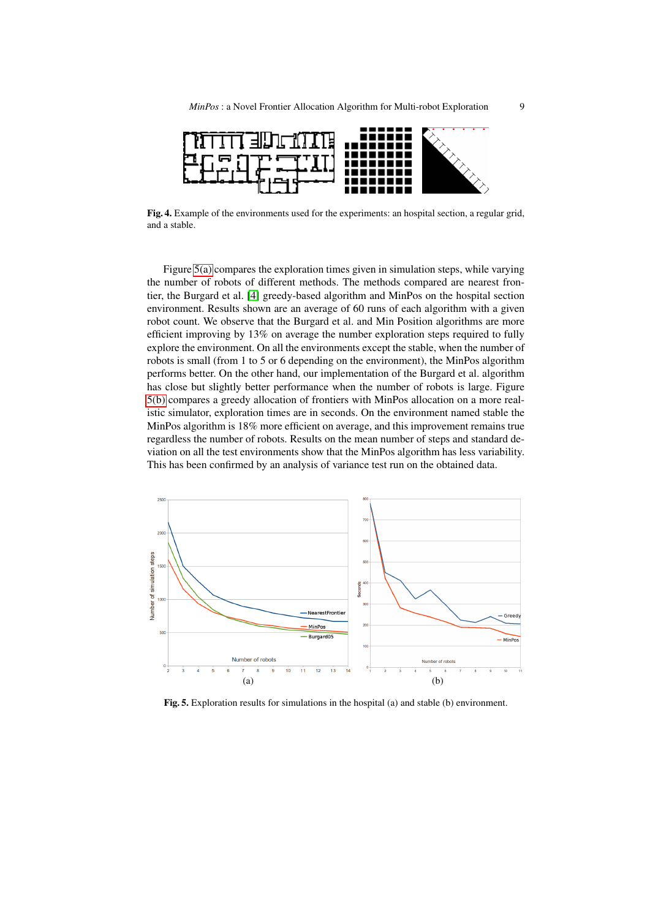

<span id="page-9-0"></span>Fig. 4. Example of the environments used for the experiments: an hospital section, a regular grid, and a stable.

Figure [5\(a\)](#page-9-1) compares the exploration times given in simulation steps, while varying the number of robots of different methods. The methods compared are nearest frontier, the Burgard et al. [\[4\]](#page-12-9) greedy-based algorithm and MinPos on the hospital section environment. Results shown are an average of 60 runs of each algorithm with a given robot count. We observe that the Burgard et al. and Min Position algorithms are more efficient improving by 13% on average the number exploration steps required to fully explore the environment. On all the environments except the stable, when the number of robots is small (from 1 to 5 or 6 depending on the environment), the MinPos algorithm performs better. On the other hand, our implementation of the Burgard et al. algorithm has close but slightly better performance when the number of robots is large. Figure [5\(b\)](#page-9-2) compares a greedy allocation of frontiers with MinPos allocation on a more realistic simulator, exploration times are in seconds. On the environment named stable the MinPos algorithm is 18% more efficient on average, and this improvement remains true regardless the number of robots. Results on the mean number of steps and standard deviation on all the test environments show that the MinPos algorithm has less variability. This has been confirmed by an analysis of variance test run on the obtained data.

<span id="page-9-1"></span>

<span id="page-9-2"></span>Fig. 5. Exploration results for simulations in the hospital (a) and stable (b) environment.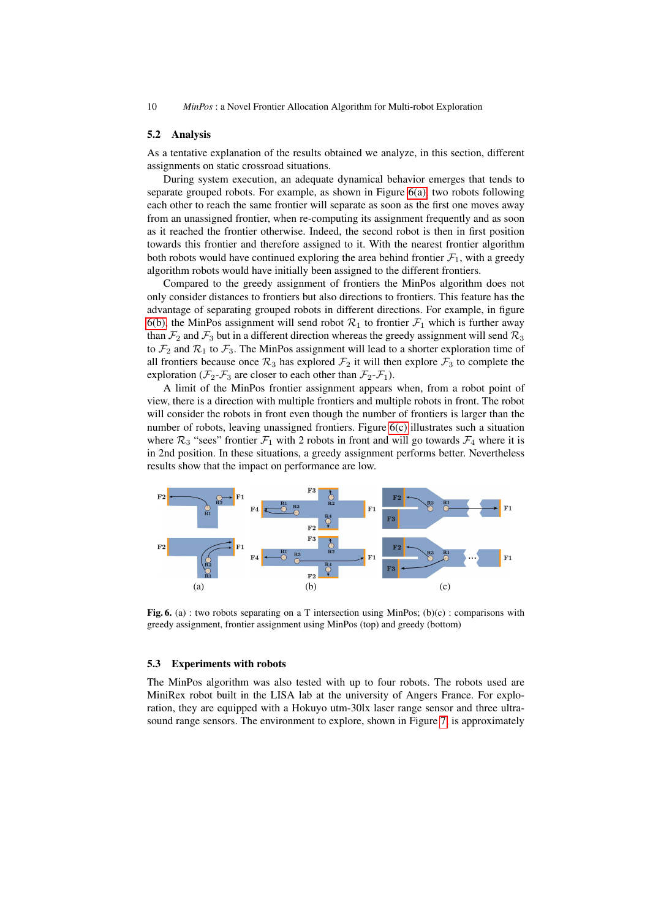10 *MinPos* : a Novel Frontier Allocation Algorithm for Multi-robot Exploration

#### 5.2 Analysis

As a tentative explanation of the results obtained we analyze, in this section, different assignments on static crossroad situations.

During system execution, an adequate dynamical behavior emerges that tends to separate grouped robots. For example, as shown in Figure [6\(a\),](#page-10-0) two robots following each other to reach the same frontier will separate as soon as the first one moves away from an unassigned frontier, when re-computing its assignment frequently and as soon as it reached the frontier otherwise. Indeed, the second robot is then in first position towards this frontier and therefore assigned to it. With the nearest frontier algorithm both robots would have continued exploring the area behind frontier  $\mathcal{F}_1$ , with a greedy algorithm robots would have initially been assigned to the different frontiers.

Compared to the greedy assignment of frontiers the MinPos algorithm does not only consider distances to frontiers but also directions to frontiers. This feature has the advantage of separating grouped robots in different directions. For example, in figure [6\(b\),](#page-10-1) the MinPos assignment will send robot  $\mathcal{R}_1$  to frontier  $\mathcal{F}_1$  which is further away than  $\mathcal{F}_2$  and  $\mathcal{F}_3$  but in a different direction whereas the greedy assignment will send  $\mathcal{R}_3$ to  $\mathcal{F}_2$  and  $\mathcal{R}_1$  to  $\mathcal{F}_3$ . The MinPos assignment will lead to a shorter exploration time of all frontiers because once  $\mathcal{R}_3$  has explored  $\mathcal{F}_2$  it will then explore  $\mathcal{F}_3$  to complete the exploration ( $\mathcal{F}_2$ - $\mathcal{F}_3$  are closer to each other than  $\mathcal{F}_2$ - $\mathcal{F}_1$ ).

A limit of the MinPos frontier assignment appears when, from a robot point of view, there is a direction with multiple frontiers and multiple robots in front. The robot will consider the robots in front even though the number of frontiers is larger than the number of robots, leaving unassigned frontiers. Figure [6\(c\)](#page-10-2) illustrates such a situation where  $\mathcal{R}_3$  "sees" frontier  $\mathcal{F}_1$  with 2 robots in front and will go towards  $\mathcal{F}_4$  where it is in 2nd position. In these situations, a greedy assignment performs better. Nevertheless results show that the impact on performance are low.

<span id="page-10-0"></span>

<span id="page-10-2"></span><span id="page-10-1"></span>Fig. 6. (a) : two robots separating on a T intersection using MinPos; (b)(c) : comparisons with greedy assignment, frontier assignment using MinPos (top) and greedy (bottom)

#### 5.3 Experiments with robots

The MinPos algorithm was also tested with up to four robots. The robots used are MiniRex robot built in the LISA lab at the university of Angers France. For exploration, they are equipped with a Hokuyo utm-30lx laser range sensor and three ultrasound range sensors. The environment to explore, shown in Figure [7,](#page-11-0) is approximately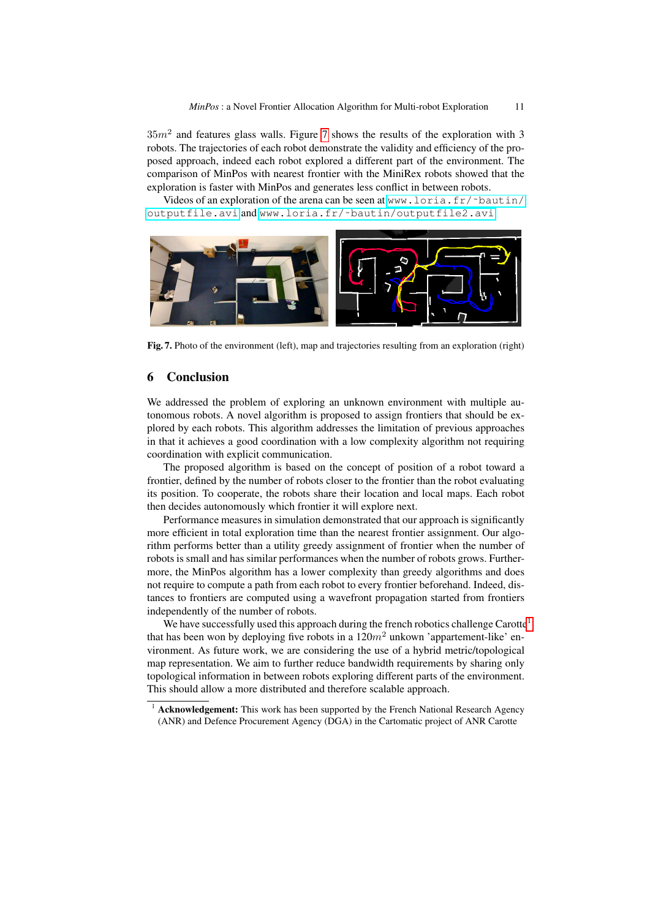$35m<sup>2</sup>$  and features glass walls. Figure [7](#page-11-0) shows the results of the exploration with 3 robots. The trajectories of each robot demonstrate the validity and efficiency of the proposed approach, indeed each robot explored a different part of the environment. The comparison of MinPos with nearest frontier with the MiniRex robots showed that the exploration is faster with MinPos and generates less conflict in between robots.

Videos of an exploration of the arena can be seen at www.loria.fr/~bautin/ [outputfile.avi](www.loria.fr/~bautin/outputfile.avi) and [www.loria.fr/˜bautin/outputfile2.avi](www.loria.fr/~bautin/outputfile2.avi).



Fig. 7. Photo of the environment (left), map and trajectories resulting from an exploration (right)

## <span id="page-11-0"></span>6 Conclusion

We addressed the problem of exploring an unknown environment with multiple autonomous robots. A novel algorithm is proposed to assign frontiers that should be explored by each robots. This algorithm addresses the limitation of previous approaches in that it achieves a good coordination with a low complexity algorithm not requiring coordination with explicit communication.

The proposed algorithm is based on the concept of position of a robot toward a frontier, defined by the number of robots closer to the frontier than the robot evaluating its position. To cooperate, the robots share their location and local maps. Each robot then decides autonomously which frontier it will explore next.

Performance measures in simulation demonstrated that our approach is significantly more efficient in total exploration time than the nearest frontier assignment. Our algorithm performs better than a utility greedy assignment of frontier when the number of robots is small and has similar performances when the number of robots grows. Furthermore, the MinPos algorithm has a lower complexity than greedy algorithms and does not require to compute a path from each robot to every frontier beforehand. Indeed, distances to frontiers are computed using a wavefront propagation started from frontiers independently of the number of robots.

We have successfully used this approach during the french robotics challenge Carotte<sup>[1](#page-11-1)</sup> that has been won by deploying five robots in a  $120m^2$  unkown 'appartement-like' environment. As future work, we are considering the use of a hybrid metric/topological map representation. We aim to further reduce bandwidth requirements by sharing only topological information in between robots exploring different parts of the environment. This should allow a more distributed and therefore scalable approach.

<span id="page-11-1"></span> $1$  Acknowledgement: This work has been supported by the French National Research Agency (ANR) and Defence Procurement Agency (DGA) in the Cartomatic project of ANR Carotte